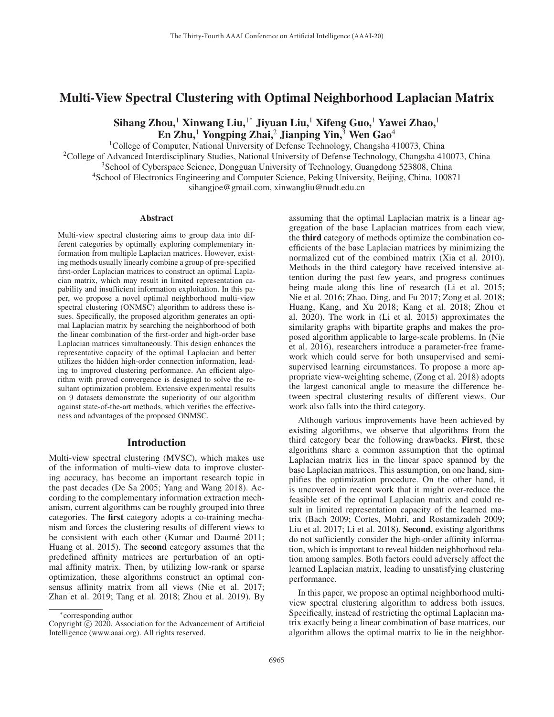# Multi-View Spectral Clustering with Optimal Neighborhood Laplacian Matrix

Sihang Zhou, $^1$  Xinwang Liu, $^{1^\ast}$  Jiyuan Liu, $^1$  Xifeng Guo, $^1$  Yawei Zhao, $^1$ En Zhu,<sup>1</sup> Yongping Zhai,<sup>2</sup> Jianping Yin,<sup>3</sup> Wen Gao<sup>4</sup>

<sup>1</sup>College of Computer, National University of Defense Technology, Changsha 410073, China <sup>2</sup>College of Advanced Interdisciplinary Studies, National University of Defense Technology, Changsha 410073, China <sup>3</sup> School of Cyberspace Science, Dongguan University of Technology, Guangdong 523808, China 4School of Electronics Engineering and Computer Science, Peking University, Beijing, China, 100871 sihangjoe@gmail.com, xinwangliu@nudt.edu.cn

#### Abstract

Multi-view spectral clustering aims to group data into different categories by optimally exploring complementary information from multiple Laplacian matrices. However, existing methods usually linearly combine a group of pre-specified first-order Laplacian matrices to construct an optimal Laplacian matrix, which may result in limited representation capability and insufficient information exploitation. In this paper, we propose a novel optimal neighborhood multi-view spectral clustering (ONMSC) algorithm to address these issues. Specifically, the proposed algorithm generates an optimal Laplacian matrix by searching the neighborhood of both the linear combination of the first-order and high-order base Laplacian matrices simultaneously. This design enhances the representative capacity of the optimal Laplacian and better utilizes the hidden high-order connection information, leading to improved clustering performance. An efficient algorithm with proved convergence is designed to solve the resultant optimization problem. Extensive experimental results on 9 datasets demonstrate the superiority of our algorithm against state-of-the-art methods, which verifies the effectiveness and advantages of the proposed ONMSC.

## Introduction

Multi-view spectral clustering (MVSC), which makes use of the information of multi-view data to improve clustering accuracy, has become an important research topic in the past decades (De Sa 2005; Yang and Wang 2018). According to the complementary information extraction mechanism, current algorithms can be roughly grouped into three categories. The first category adopts a co-training mechanism and forces the clustering results of different views to be consistent with each other (Kumar and Daumé 2011; Huang et al. 2015). The second category assumes that the predefined affinity matrices are perturbation of an optimal affinity matrix. Then, by utilizing low-rank or sparse optimization, these algorithms construct an optimal consensus affinity matrix from all views (Nie et al. 2017; Zhan et al. 2019; Tang et al. 2018; Zhou et al. 2019). By

assuming that the optimal Laplacian matrix is a linear aggregation of the base Laplacian matrices from each view, the third category of methods optimize the combination coefficients of the base Laplacian matrices by minimizing the normalized cut of the combined matrix (Xia et al. 2010). Methods in the third category have received intensive attention during the past few years, and progress continues being made along this line of research (Li et al. 2015; Nie et al. 2016; Zhao, Ding, and Fu 2017; Zong et al. 2018; Huang, Kang, and Xu 2018; Kang et al. 2018; Zhou et al. 2020). The work in (Li et al. 2015) approximates the similarity graphs with bipartite graphs and makes the proposed algorithm applicable to large-scale problems. In (Nie et al. 2016), researchers introduce a parameter-free framework which could serve for both unsupervised and semisupervised learning circumstances. To propose a more appropriate view-weighting scheme, (Zong et al. 2018) adopts the largest canonical angle to measure the difference between spectral clustering results of different views. Our work also falls into the third category.

Although various improvements have been achieved by existing algorithms, we observe that algorithms from the third category bear the following drawbacks. First, these algorithms share a common assumption that the optimal Laplacian matrix lies in the linear space spanned by the base Laplacian matrices. This assumption, on one hand, simplifies the optimization procedure. On the other hand, it is uncovered in recent work that it might over-reduce the feasible set of the optimal Laplacian matrix and could result in limited representation capacity of the learned matrix (Bach 2009; Cortes, Mohri, and Rostamizadeh 2009; Liu et al. 2017; Li et al. 2018). Second, existing algorithms do not sufficiently consider the high-order affinity information, which is important to reveal hidden neighborhood relation among samples. Both factors could adversely affect the learned Laplacian matrix, leading to unsatisfying clustering performance.

In this paper, we propose an optimal neighborhood multiview spectral clustering algorithm to address both issues. Specifically, instead of restricting the optimal Laplacian matrix exactly being a linear combination of base matrices, our algorithm allows the optimal matrix to lie in the neighbor-

<sup>∗</sup>corresponding author

Copyright  $\odot$  2020, Association for the Advancement of Artificial Intelligence (www.aaai.org). All rights reserved.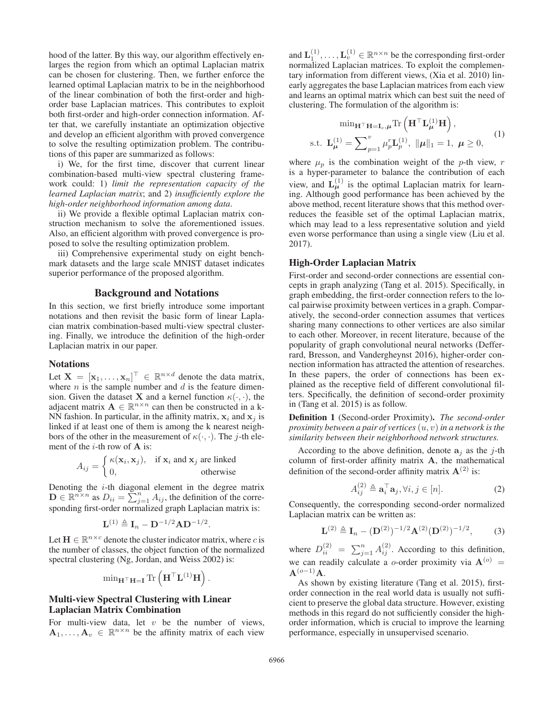hood of the latter. By this way, our algorithm effectively enlarges the region from which an optimal Laplacian matrix can be chosen for clustering. Then, we further enforce the learned optimal Laplacian matrix to be in the neighborhood of the linear combination of both the first-order and highorder base Laplacian matrices. This contributes to exploit both first-order and high-order connection information. After that, we carefully instantiate an optimization objective and develop an efficient algorithm with proved convergence to solve the resulting optimization problem. The contributions of this paper are summarized as follows:

i) We, for the first time, discover that current linear combination-based multi-view spectral clustering framework could: 1) *limit the representation capacity of the learned Laplacian matrix*; and 2) *insufficiently explore the high-order neighborhood information among data*.

ii) We provide a flexible optimal Laplacian matrix construction mechanism to solve the aforementioned issues. Also, an efficient algorithm with proved convergence is proposed to solve the resulting optimization problem.

iii) Comprehensive experimental study on eight benchmark datasets and the large scale MNIST dataset indicates superior performance of the proposed algorithm.

## Background and Notations

In this section, we first briefly introduce some important notations and then revisit the basic form of linear Laplacian matrix combination-based multi-view spectral clustering. Finally, we introduce the definition of the high-order Laplacian matrix in our paper.

#### **Notations**

Let  $\mathbf{X} = [\mathbf{x}_1, ..., \mathbf{x}_n]^\top \in \mathbb{R}^{n \times d}$  denote the data matrix, where  $n$  is the sample number and  $d$  is the feature dimension. Given the dataset **X** and a kernel function  $\kappa(\cdot, \cdot)$ , the adjacent matrix  $\mathbf{A} \in \mathbb{R}^{n \times n}$  can then be constructed in a k-NN fashion. In particular, in the affinity matrix,  $x_i$  and  $x_j$  is linked if at least one of them is among the k nearest neighbors of the other in the measurement of  $\kappa(\cdot, \cdot)$ . The *j*-th element of the i-th row of **A** is:

$$
A_{ij} = \begin{cases} \kappa(\mathbf{x}_i, \mathbf{x}_j), & \text{if } \mathbf{x}_i \text{ and } \mathbf{x}_j \text{ are linked} \\ 0, & \text{otherwise} \end{cases}
$$

Denoting the  $i$ -th diagonal element in the degree matrix **D**  $\in \mathbb{R}^{n \times n}$  as  $D_{ii} = \sum_{j=1}^{n} A_{ij}$ , the definition of the corresponding first-order normalized graph Laplacian matrix is:

$$
\mathbf{L}^{(1)} \triangleq \mathbf{I}_n - \mathbf{D}^{-1/2} \mathbf{A} \mathbf{D}^{-1/2}.
$$

Let  $\mathbf{H} \in \mathbb{R}^{n \times c}$  denote the cluster indicator matrix, where c is the number of classes, the object function of the normalized spectral clustering (Ng, Jordan, and Weiss 2002) is:

$$
\mathop{\mathrm{min}}\nolimits_{\mathbf{H}^{\top} \mathbf{H} = \mathbf{I}} \mathrm{Tr}\left(\mathbf{H}^{\top} \mathbf{L}^{(1)} \mathbf{H}\right).
$$

## Multi-view Spectral Clustering with Linear Laplacian Matrix Combination

For multi-view data, let  $v$  be the number of views,  $\mathbf{A}_1, \ldots, \mathbf{A}_v \in \mathbb{R}^{n \times n}$  be the affinity matrix of each view

and  $\mathbf{L}_1^{(1)}, \dots, \mathbf{L}_v^{(1)} \in \mathbb{R}^{n \times n}$  be the corresponding first-order normalized Laplacian matrices. To exploit the complementary information from different views, (Xia et al. 2010) linearly aggregates the base Laplacian matrices from each view and learns an optimal matrix which can best suit the need of clustering. The formulation of the algorithm is:

$$
\min_{\mathbf{H}^{\top}\mathbf{H}=\mathbf{I}_c,\mu} \text{Tr}\left(\mathbf{H}^{\top}\mathbf{L}^{(1)}_{\mu}\mathbf{H}\right),
$$
  
s.t. 
$$
\mathbf{L}^{(1)}_{\mu} = \sum_{p=1}^{v} \mu_p^r \mathbf{L}^{(1)}_p, \ \|\mu\|_1 = 1, \ \mu \ge 0,
$$
 (1)

where  $\mu_p$  is the combination weight of the p-th view, r is a hyper-parameter to balance the contribution of each view, and  $L_{\mu}^{(1)}$  is the optimal Laplacian matrix for learning. Although good performance has been achieved by the above method, recent literature shows that this method overreduces the feasible set of the optimal Laplacian matrix, which may lead to a less representative solution and yield even worse performance than using a single view (Liu et al. 2017).

#### High-Order Laplacian Matrix

First-order and second-order connections are essential concepts in graph analyzing (Tang et al. 2015). Specifically, in graph embedding, the first-order connection refers to the local pairwise proximity between vertices in a graph. Comparatively, the second-order connection assumes that vertices sharing many connections to other vertices are also similar to each other. Moreover, in recent literature, because of the popularity of graph convolutional neural networks (Defferrard, Bresson, and Vandergheynst 2016), higher-order connection information has attracted the attention of researches. In these papers, the order of connections has been explained as the receptive field of different convolutional filters. Specifically, the definition of second-order proximity in (Tang et al. 2015) is as follow.

Definition 1 (Second-order Proximity). *The second-order proximity between a pair of vertices*(u, v)*in a network is the similarity between their neighborhood network structures.*

According to the above definition, denote  $a_i$  as the *j*-th column of first-order affinity matrix **A**, the mathematical definition of the second-order affinity matrix  $\mathbf{A}^{(2)}$  is:

$$
A_{ij}^{(2)} \triangleq \mathbf{a}_i^{\top} \mathbf{a}_j, \forall i, j \in [n]. \tag{2}
$$

Consequently, the corresponding second-order normalized Laplacian matrix can be written as:

$$
\mathbf{L}^{(2)} \triangleq \mathbf{I}_n - (\mathbf{D}^{(2)})^{-1/2} \mathbf{A}^{(2)} (\mathbf{D}^{(2)})^{-1/2},
$$
 (3)

where  $D_{ii}^{(2)} = \sum_{j=1}^{n} A_{ij}^{(2)}$ . According to this definition, we can readily calculate a o-order proximity via  $A^{(o)}$  = **A**(o−1)**A**.

As shown by existing literature (Tang et al. 2015), firstorder connection in the real world data is usually not sufficient to preserve the global data structure. However, existing methods in this regard do not sufficiently consider the highorder information, which is crucial to improve the learning performance, especially in unsupervised scenario.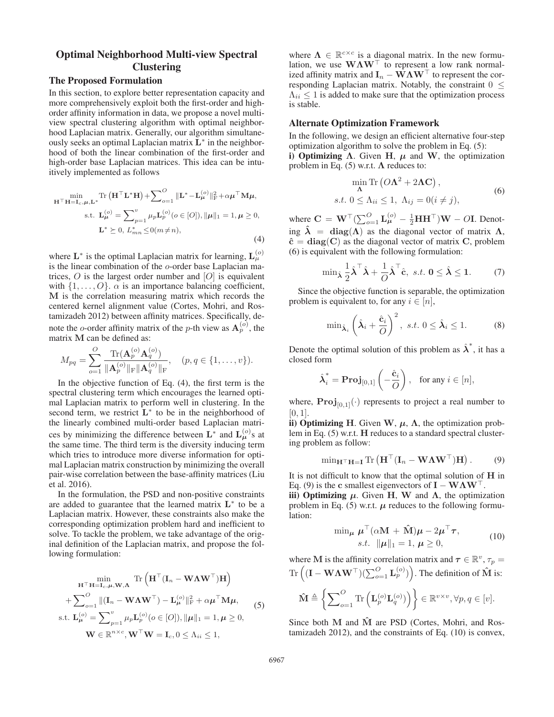# Optimal Neighborhood Multi-view Spectral Clustering

# The Proposed Formulation

In this section, to explore better representation capacity and more comprehensively exploit both the first-order and highorder affinity information in data, we propose a novel multiview spectral clustering algorithm with optimal neighborhood Laplacian matrix. Generally, our algorithm simultaneously seeks an optimal Laplacian matrix **L**<sup>∗</sup> in the neighborhood of both the linear combination of the first-order and high-order base Laplacian matrices. This idea can be intuitively implemented as follows

$$
\min_{\mathbf{H}^{\top} \mathbf{H} = \mathbf{I}_c, \mu, \mathbf{L}^*} \text{Tr} \left( \mathbf{H}^{\top} \mathbf{L}^* \mathbf{H} \right) + \sum_{o=1}^{\infty} \|\mathbf{L}^* - \mathbf{L}^{(o)}_{\mu}\|_{\text{F}}^2 + \alpha \mu^{\top} \mathbf{M} \mu,
$$
\n
$$
\text{s.t. } \mathbf{L}^{(o)}_{\mu} = \sum_{p=1}^{\nu} \mu_p \mathbf{L}^{(o)}_p(o \in [O]), \|\mu\|_1 = 1, \mu \ge 0,
$$
\n
$$
\mathbf{L}^* \ge 0, \ L^*_{mn} \le 0 \quad (m \ne n), \tag{4}
$$

where  $\mathbf{L}^*$  is the optimal Laplacian matrix for learning,  $\mathbf{L}^{(o)}_{\mu}$ is the linear combination of the o-order base Laplacian matrices,  $O$  is the largest order number and  $[O]$  is equivalent with  $\{1,\ldots,O\}$ .  $\alpha$  is an importance balancing coefficient, **M** is the correlation measuring matrix which records the centered kernel alignment value (Cortes, Mohri, and Rostamizadeh 2012) between affinity matrices. Specifically, denote the o-order affinity matrix of the p-th view as  $A_p^{(o)}$ , the matrix **M** can be defined as:

$$
M_{pq} = \sum_{o=1}^{O} \frac{\text{Tr}(\mathbf{A}_p^{(o)} \mathbf{A}_q^{(o)})}{\|\mathbf{A}_p^{(o)}\|_{\text{F}} \|\mathbf{A}_q^{(o)}\|_{\text{F}}}, \quad (p, q \in \{1, \dots, v\}).
$$

In the objective function of Eq.  $(4)$ , the first term is the spectral clustering term which encourages the learned optimal Laplacian matrix to perform well in clustering. In the second term, we restrict **L**<sup>∗</sup> to be in the neighborhood of the linearly combined multi-order based Laplacian matrices by minimizing the difference between  $\mathbf{L}^*$  and  $\mathbf{L}^{(o)}_{\mu}$ s at the same time. The third term is the diversity inducing term which tries to introduce more diverse information for optimal Laplacian matrix construction by minimizing the overall pair-wise correlation between the base-affinity matrices (Liu et al. 2016).

In the formulation, the PSD and non-positive constraints are added to guarantee that the learned matrix **L**<sup>∗</sup> to be a Laplacian matrix. However, these constraints also make the corresponding optimization problem hard and inefficient to solve. To tackle the problem, we take advantage of the original definition of the Laplacian matrix, and propose the following formulation:

$$
\min_{\mathbf{H}^{\top} \mathbf{H} = \mathbf{I}_c, \mu, \mathbf{W}, \mathbf{\Lambda}} \text{Tr}\left(\mathbf{H}^{\top} (\mathbf{I}_n - \mathbf{W} \mathbf{\Lambda} \mathbf{W}^{\top}) \mathbf{H}\right) + \sum_{o=1}^{O} ||(\mathbf{I}_n - \mathbf{W} \mathbf{\Lambda} \mathbf{W}^{\top}) - \mathbf{L}_{\mu}^{(o)}||_{\text{F}}^2 + \alpha \mu^{\top} \mathbf{M} \mu, \text{s.t. } \mathbf{L}_{\mu}^{(o)} = \sum_{p=1}^{v} \mu_p \mathbf{L}_p^{(o)} (o \in [O]), ||\mu||_1 = 1, \mu \ge 0, \n\mathbf{W} \in \mathbb{R}^{n \times c}, \mathbf{W}^{\top} \mathbf{W} = \mathbf{I}_c, 0 \le \Lambda_{ii} \le 1,
$$
\n(5)

where  $\Lambda \in \mathbb{R}^{c \times c}$  is a diagonal matrix. In the new formulation, we use  $W\Lambda W^{\dagger}$  to represent a low rank normalized affinity matrix and  $\mathbf{I}_n - \mathbf{W} \mathbf{\Lambda} \mathbf{W}^\top$  to represent the corresponding Laplacian matrix. Notably, the constraint  $0 \leq$  $\Lambda_{ii} \leq 1$  is added to make sure that the optimization process is stable.

## Alternate Optimization Framework

In the following, we design an efficient alternative four-step optimization algorithm to solve the problem in Eq. (5):

i) Optimizing  $\Lambda$ . Given **H**,  $\mu$  and **W**, the optimization problem in Eq. (5) w.r.t. **Λ** reduces to:

$$
\min_{\mathbf{\Lambda}} \text{Tr} \left( O\mathbf{\Lambda}^2 + 2\mathbf{\Lambda} \mathbf{C} \right),
$$
  
s.t.  $0 \le \Lambda_{ii} \le 1$ ,  $\Lambda_{ij} = 0 (i \ne j)$ , (6)

where  $\mathbf{C} = \mathbf{W}^{\top} (\sum_{o=1}^{O} \mathbf{L}_{\boldsymbol{\mu}}^{(o)} - \frac{1}{2} \mathbf{H} \mathbf{H}^{\top}) \mathbf{W} - O \mathbf{I}$ . Denoting  $\lambda = \text{diag}(\Lambda)$  as the diagonal vector of matrix  $\Lambda$ ,  $\hat{\mathbf{c}} = \text{diag}(\mathbf{C})$  as the diagonal vector of matrix **C**, problem (6) is equivalent with the following formulation:

$$
\min_{\hat{\boldsymbol{\lambda}}} \frac{1}{2} \hat{\boldsymbol{\lambda}}^\top \hat{\boldsymbol{\lambda}} + \frac{1}{O} \hat{\boldsymbol{\lambda}}^\top \hat{\mathbf{c}}, \ s.t. \ \mathbf{0} \le \hat{\boldsymbol{\lambda}} \le \mathbf{1}. \tag{7}
$$

Since the objective function is separable, the optimization problem is equivalent to, for any  $i \in [n]$ ,

$$
\min_{\hat{\boldsymbol{\lambda}}_i} \left( \hat{\boldsymbol{\lambda}}_i + \frac{\hat{\mathbf{c}}_i}{O} \right)^2, \ s.t. \ 0 \le \hat{\boldsymbol{\lambda}}_i \le 1. \tag{8}
$$

Denote the optimal solution of this problem as  $\hat{\lambda}^*$ , it has a closed form

$$
\hat{\boldsymbol{\lambda}}_i^* = \mathbf{Proj}_{[0,1]} \left( -\frac{\hat{\mathbf{c}}_i}{O} \right), \quad \text{for any } i \in [n],
$$

where,  $\text{Proj}_{[0,1]}(\cdot)$  represents to project a real number to  $[0, 1]$ .

ii) Optimizing H. Given W,  $\mu$ ,  $\Lambda$ , the optimization problem in Eq. (5) w.r.t. **H** reduces to a standard spectral clustering problem as follow:

$$
\min_{\mathbf{H}^{\top} \mathbf{H} = \mathbf{I}} \text{Tr} \left( \mathbf{H}^{\top} (\mathbf{I}_n - \mathbf{W} \boldsymbol{\Lambda} \mathbf{W}^{\top}) \mathbf{H} \right).
$$
 (9)

It is not difficult to know that the optimal solution of **H** in Eq. (9) is the **c** smallest eigenvectors of  $I - W\Lambda W^{\dagger}$ .

iii) Optimizing  $μ$ . Given **H**, **W** and  $Λ$ , the optimization problem in Eq. (5) w.r.t.  $\mu$  reduces to the following formulation:

$$
\min_{\mu} \mu^{\top} (\alpha \mathbf{M} + \hat{\mathbf{M}}) \mu - 2\mu^{\top} \tau,
$$
  
s.t.  $\|\mu\|_1 = 1, \mu \ge 0,$  (10)

where **M** is the affinity correlation matrix and  $\tau \in \mathbb{R}^v$ ,  $\tau_p =$  $\text{Tr}\left((\mathbf{I}-\mathbf{W}\boldsymbol{\Lambda}\mathbf{W}^\top)(\sum_{o=1}^O\mathbf{L}_p^{(o)})\right)$ . The definition of  $\mathbf{\hat{M}}$  is:

$$
\hat{\mathbf{M}} \triangleq \left\{ \sum\nolimits_{o=1}^O \text{Tr}\left(\mathbf{L}_p^{(o)} \mathbf{L}_q^{(o)} \right) \right\} \in \mathbb{R}^{v \times v}, \forall p, q \in [v].
$$

Since both **M** and  $\hat{M}$  are PSD (Cortes, Mohri, and Rostamizadeh 2012), and the constraints of Eq. (10) is convex,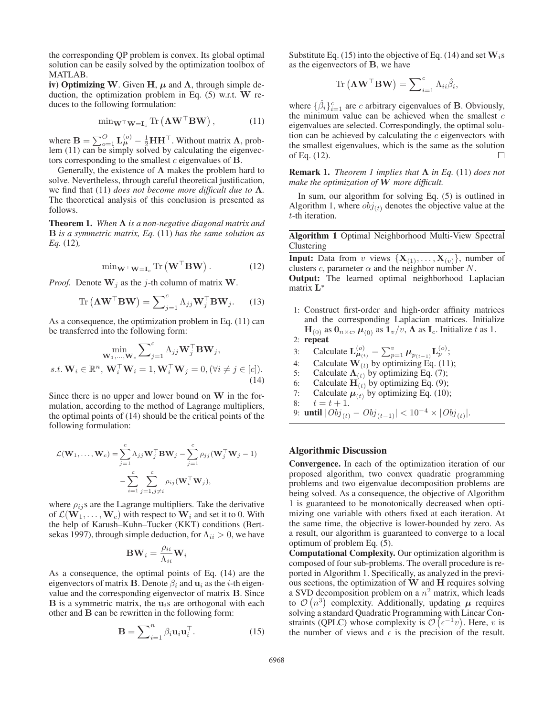the corresponding QP problem is convex. Its global optimal solution can be easily solved by the optimization toolbox of MATLAB.

iv) Optimizing W. Given H,  $\mu$  and  $\Lambda$ , through simple deduction, the optimization problem in Eq. (5) w.r.t. **W** reduces to the following formulation:

$$
\min_{\mathbf{W}^{\top} \mathbf{W} = \mathbf{I}_c} \text{Tr}\left(\mathbf{\Lambda} \mathbf{W}^{\top} \mathbf{B} \mathbf{W}\right),\tag{11}
$$

where  $\mathbf{B} = \sum_{o=1}^{O} \mathbf{L}_{\mu}^{(o)} - \frac{1}{2} \mathbf{H} \mathbf{H}^{\top}$ . Without matrix  $\Lambda$ , problem (11) can be simply solved by calculating the eigenvectors corresponding to the smallest c eigenvalues of **B**.

Generally, the existence of **Λ** makes the problem hard to solve. Nevertheless, through careful theoretical justification, we find that (11) *does not become more difficult due to* **Λ***.* The theoretical analysis of this conclusion is presented as follows.

Theorem 1. *When* **Λ** *is a non-negative diagonal matrix and* **B** *is a symmetric matrix, Eq.* (11) *has the same solution as Eq.* (12)*,*

$$
\min_{\mathbf{W}^{\top} \mathbf{W} = \mathbf{I}_c} \text{Tr}\left(\mathbf{W}^{\top} \mathbf{B} \mathbf{W}\right). \tag{12}
$$

*Proof.* Denote  $W_i$  as the j-th column of matrix  $W_i$ .

$$
\operatorname{Tr}\left(\mathbf{\Lambda}\mathbf{W}^{\top}\mathbf{B}\mathbf{W}\right) = \sum_{j=1}^{c} \Lambda_{jj} \mathbf{W}_{j}^{\top} \mathbf{B} \mathbf{W}_{j}.
$$
 (13)

As a consequence, the optimization problem in Eq. (11) can be transferred into the following form:

$$
\min_{\mathbf{W}_1,\dots,\mathbf{W}_c} \sum_{j=1}^c \Lambda_{jj} \mathbf{W}_j^{\top} \mathbf{B} \mathbf{W}_j, s.t. \mathbf{W}_i \in \mathbb{R}^n, \mathbf{W}_i^{\top} \mathbf{W}_i = 1, \mathbf{W}_i^{\top} \mathbf{W}_j = 0, (\forall i \neq j \in [c]).
$$
\n(14)

Since there is no upper and lower bound on **W** in the formulation, according to the method of Lagrange multipliers, the optimal points of (14) should be the critical points of the following formulation:

$$
\mathcal{L}(\mathbf{W}_1, ..., \mathbf{W}_c) = \sum_{j=1}^c \Lambda_{jj} \mathbf{W}_j^\top \mathbf{B} \mathbf{W}_j - \sum_{j=1}^c \rho_{jj} (\mathbf{W}_j^\top \mathbf{W}_j - 1)
$$

$$
- \sum_{i=1}^c \sum_{j=1, j \neq i}^c \rho_{ij} (\mathbf{W}_i^\top \mathbf{W}_j),
$$

where  $\rho_{ij}$ s are the Lagrange multipliers. Take the derivative of  $\mathcal{L}(\mathbf{W}_1,\ldots,\mathbf{W}_c)$  with respect to  $\mathbf{W}_i$  and set it to 0. With the help of Karush–Kuhn–Tucker (KKT) conditions (Bertsekas 1997), through simple deduction, for  $\Lambda_{ii} > 0$ , we have

$$
\mathbf{BW}_{i} = \frac{\rho_{ii}}{\Lambda_{ii}} \mathbf{W}_{i}
$$

As a consequence, the optimal points of Eq. (14) are the eigenvectors of matrix **B**. Denote  $\beta_i$  and  $\mathbf{u}_i$  as the *i*-th eigenvalue and the corresponding eigenvector of matrix **B**. Since **B** is a symmetric matrix, the  $\mathbf{u}_i$ s are orthogonal with each other and **B** can be rewritten in the following form:

$$
\mathbf{B} = \sum_{i=1}^{n} \beta_i \mathbf{u}_i \mathbf{u}_i^{\top}.
$$
 (15)

Substitute Eq. (15) into the objective of Eq. (14) and set  $W_i$ s as the eigenvectors of **B**, we have

$$
\mathrm{Tr}\left(\mathbf{\Lambda}\mathbf{W}^{\top}\mathbf{B}\mathbf{W}\right) = \sum\nolimits_{i=1}^{c} \Lambda_{ii} \hat{\beta}_i,
$$

where  $\{\hat{\beta}_i\}_{i=1}^c$  are *c* arbitrary eigenvalues of **B**. Obviously, the minimum value can be achieved when the smallest  $c$ eigenvalues are selected. Correspondingly, the optimal solution can be achieved by calculating the  $c$  eigenvectors with the smallest eigenvalues, which is the same as the solution of Eq. (12).  $\Box$ 

Remark 1. *Theorem 1 implies that* **Λ** *in Eq.* (11) *does not make the optimization of W more difficult.*

In sum, our algorithm for solving Eq. (5) is outlined in Algorithm 1, where  $obj_{(t)}$  denotes the objective value at the t-th iteration.

Algorithm 1 Optimal Neighborhood Multi-View Spectral Clustering

**Input:** Data from v views  $\{X_{(1)},...,X_{(v)}\}$ , number of clusters c, parameter  $\alpha$  and the neighbor number N.

Output: The learned optimal neighborhood Laplacian matrix **L**<sup>∗</sup>

- 1: Construct first-order and high-order affinity matrices and the corresponding Laplacian matrices. Initialize  $\mathbf{H}_{(0)}$  as  $\mathbf{0}_{n \times c}$ ,  $\boldsymbol{\mu}_{(0)}$  as  $\mathbf{1}_v/v$ ,  $\boldsymbol{\Lambda}$  as  $\mathbf{I}_c$ . Initialize t as 1.
- 2: repeat
- 3: Calculate  $\mathbf{L}_{\mu_{(t)}}^{(o)} = \sum_{p=1}^{v} \mu_{p_{(t-1)}} \mathbf{L}_p^{(o)};$

4: Calculate  $\mathbf{W}_{(t)}$  by optimizing Eq. (11);<br>5: Calculate  $\Lambda_{(t)}$  by optimizing Eq. (7);

- Calculate  $\Lambda(t)$  by optimizing Eq. (7);
- 6: Calculate  $\mathbf{H}_{(t)}$  by optimizing Eq. (9);<br>7: Calculate  $\mu_{(t)}$  by optimizing Eq. (10)
- 7: Calculate  $\mu_{(t)}(t)$  by optimizing Eq. (10);<br>8:  $t = t + 1$ .
- $t = t + 1.$
- 9: **until**  $|Obj_{(t)} -Obj_{(t-1)}| < 10^{-4} \times |Obj_{(t)}|$ .

#### Algorithmic Discussion

Convergence. In each of the optimization iteration of our proposed algorithm, two convex quadratic programming problems and two eigenvalue decomposition problems are being solved. As a consequence, the objective of Algorithm 1 is guaranteed to be monotonically decreased when optimizing one variable with others fixed at each iteration. At the same time, the objective is lower-bounded by zero. As a result, our algorithm is guaranteed to converge to a local optimum of problem Eq. (5).

Computational Complexity. Our optimization algorithm is composed of four sub-problems. The overall procedure is reported in Algorithm 1. Specifically, as analyzed in the previous sections, the optimization of **W** and **H** requires solving a SVD decomposition problem on a  $n^2$  matrix, which leads to  $\mathcal{O}(n^3)$  complexity. Additionally, updating  $\mu$  requires solving a standard Quadratic Programming with Linear Constraints (QPLC) whose complexity is  $\mathcal{O}(\epsilon^{-1}v)$ . Here, v is the number of views and  $\epsilon$  is the precision of the result.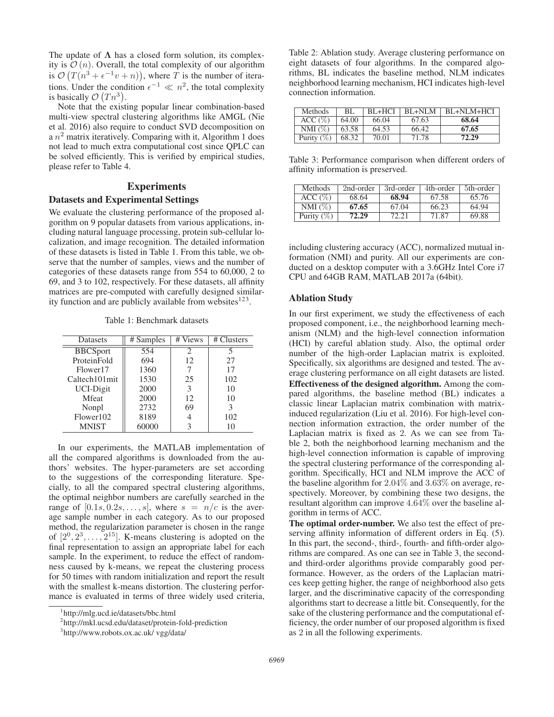The update of  $\Lambda$  has a closed form solution, its complexity is  $\mathcal{O}(n)$ . Overall, the total complexity of our algorithm is  $\mathcal{O}(T(n^3 + \epsilon^{-1}v + n))$ , where T is the number of iterations. Under the condition  $\epsilon^{-1} \ll n^2$ , the total complexity is basically  $\mathcal{O}(Tn^3)$ .

Note that the existing popular linear combination-based multi-view spectral clustering algorithms like AMGL (Nie et al. 2016) also require to conduct SVD decomposition on a  $n^2$  matrix iteratively. Comparing with it, Algorithm 1 does not lead to much extra computational cost since QPLC can be solved efficiently. This is verified by empirical studies, please refer to Table 4.

# Experiments

## Datasets and Experimental Settings

We evaluate the clustering performance of the proposed algorithm on 9 popular datasets from various applications, including natural language processing, protein sub-cellular localization, and image recognition. The detailed information of these datasets is listed in Table 1. From this table, we observe that the number of samples, views and the number of categories of these datasets range from 554 to 60,000, 2 to 69, and 3 to 102, respectively. For these datasets, all affinity matrices are pre-computed with carefully designed similarity function and are publicly available from websites<sup>123</sup>.

Table 1: Benchmark datasets

| <b>Datasets</b> | # Samples | # Views | # Clusters |  |
|-----------------|-----------|---------|------------|--|
| <b>BBCSport</b> | 554       | 2       | 5          |  |
| ProteinFold     | 694       | 12      | 27         |  |
| Flower17        | 1360      |         | 17         |  |
| Caltech101mit   | 1530      | 25      | 102        |  |
| UCI-Digit       | 2000      | 3       | 10         |  |
| <b>M</b> feat   | 2000      | 12      | 10         |  |
| Nonpl           | 2732      | 69      | 3          |  |
| Flower102       | 8189      |         | 102        |  |
| <b>MNIST</b>    | 60000     |         | 10         |  |

In our experiments, the MATLAB implementation of all the compared algorithms is downloaded from the authors' websites. The hyper-parameters are set according to the suggestions of the corresponding literature. Specially, to all the compared spectral clustering algorithms, the optimal neighbor numbers are carefully searched in the range of  $[0.1s, 0.2s, \ldots, s]$ , where  $s = n/c$  is the average sample number in each category. As to our proposed method, the regularization parameter is chosen in the range of  $[2^0, 2^3, \ldots, 2^{15}]$ . K-means clustering is adopted on the final representation to assign an appropriate label for each sample. In the experiment, to reduce the effect of randomness caused by k-means, we repeat the clustering process for 50 times with random initialization and report the result with the smallest k-means distortion. The clustering performance is evaluated in terms of three widely used criteria, Table 2: Ablation study. Average clustering performance on eight datasets of four algorithms. In the compared algorithms, BL indicates the baseline method, NLM indicates neighborhood learning mechanism, HCI indicates high-level connection information.

| <b>Methods</b> | BL.   | $BL+HCI$ | $BI + NI.M$ | BL+NLM+HCI |
|----------------|-------|----------|-------------|------------|
| ACC (%)        | 64.00 | 66.04    | 67.63       | 68.64      |
| NMI $(\%)$     | 63.58 | 64.53    | 66.42       | 67.65      |
| Purity $(\%)$  | 68.32 | 70.01    | 71.78       | 72.29      |

Table 3: Performance comparison when different orders of affinity information is preserved.

| <b>Methods</b> | 2nd-order | 3rd-order | 4th-order | 5th-order |
|----------------|-----------|-----------|-----------|-----------|
| ACC (%)        | 68.64     | 68.94     | 67.58     | 65.76     |
| NMI $(\%)$     | 67.65     | 67.04     | 66.23     | 64.94     |
| Purity $(\%)$  | 72.29     | 72.21     | 71.87     | 69.88     |

including clustering accuracy (ACC), normalized mutual information (NMI) and purity. All our experiments are conducted on a desktop computer with a 3.6GHz Intel Core i7 CPU and 64GB RAM, MATLAB 2017a (64bit).

## Ablation Study

In our first experiment, we study the effectiveness of each proposed component, i.e., the neighborhood learning mechanism (NLM) and the high-level connection information (HCI) by careful ablation study. Also, the optimal order number of the high-order Laplacian matrix is exploited. Specifically, six algorithms are designed and tested. The average clustering performance on all eight datasets are listed. Effectiveness of the designed algorithm. Among the compared algorithms, the baseline method (BL) indicates a classic linear Laplacian matrix combination with matrixinduced regularization (Liu et al. 2016). For high-level connection information extraction, the order number of the Laplacian matrix is fixed as 2. As we can see from Table 2, both the neighborhood learning mechanism and the high-level connection information is capable of improving the spectral clustering performance of the corresponding algorithm. Specifically, HCI and NLM improve the ACC of the baseline algorithm for 2.04% and 3.63% on average, respectively. Moreover, by combining these two designs, the resultant algorithm can improve 4.64% over the baseline algorithm in terms of ACC.

The optimal order-number. We also test the effect of preserving affinity information of different orders in Eq. (5). In this part, the second-, third-, fourth- and fifth-order algorithms are compared. As one can see in Table 3, the secondand third-order algorithms provide comparably good performance. However, as the orders of the Laplacian matrices keep getting higher, the range of neighborhood also gets larger, and the discriminative capacity of the corresponding algorithms start to decrease a little bit. Consequently, for the sake of the clustering performance and the computational efficiency, the order number of our proposed algorithm is fixed as 2 in all the following experiments.

<sup>1</sup> http://mlg.ucd.ie/datasets/bbc.html

<sup>2</sup> http://mkl.ucsd.edu/dataset/protein-fold-prediction

<sup>3</sup> http://www.robots.ox.ac.uk/ vgg/data/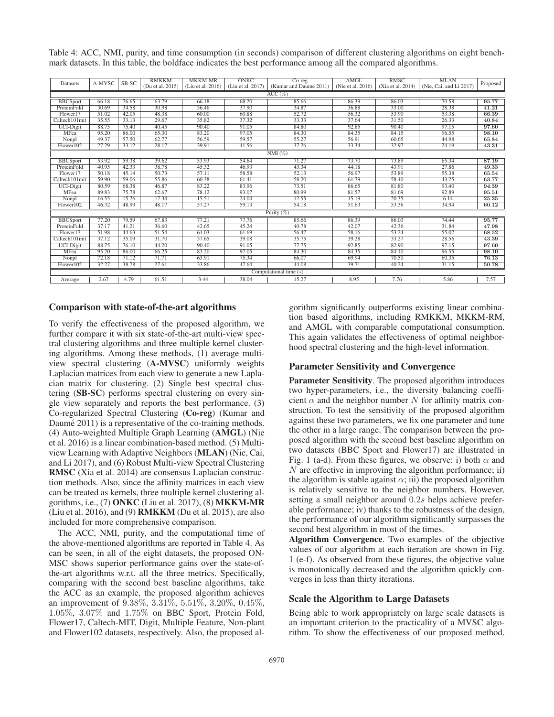Table 4: ACC, NMI, purity, and time consumption (in seconds) comparison of different clustering algorithms on eight benchmark datasets. In this table, the boldface indicates the best performance among all the compared algorithms.

| Datasets                 | A-MVSC | SB-SC | <b>RMKKM</b><br>(Du et al. 2015) | <b>MKKM-MR</b><br>(Liu et al. 2016) | <b>ONKC</b><br>(Liu et al. 2017) | $Co-reg$<br>(Kumar and Daumé 2011) | AMGL<br>(Nie et al. 2016) | <b>RMSC</b><br>(Xia et al. 2014) | <b>MLAN</b><br>(Nie, Cai, and Li 2017) | Proposed |
|--------------------------|--------|-------|----------------------------------|-------------------------------------|----------------------------------|------------------------------------|---------------------------|----------------------------------|----------------------------------------|----------|
|                          |        |       |                                  |                                     |                                  |                                    |                           |                                  |                                        |          |
| $ACC (\%)$               |        |       |                                  |                                     |                                  |                                    |                           |                                  |                                        |          |
| <b>BBCSport</b>          | 66.18  | 76.65 | 63.79                            | 66.18                               | 68.20                            | 85.66                              | 86.39                     | 86.03                            | 70.58                                  | 95.77    |
| ProteinFold              | 30.69  | 34.58 | 30.98                            | 36.46                               | 37.90                            | 34.87                              | 36.88                     | 33.00                            | 28.38                                  | 41.21    |
| Flower17                 | 51.02  | 42.05 | 48.38                            | 60.00                               | 60.88                            | 52.72                              | 56.32                     | 53.90                            | 53.38                                  | 66.39    |
| Caltech101mit            | 35.55  | 33.13 | 29.67                            | 35.82                               | 37.32                            | 33.33                              | 37.64                     | 31.50                            | 26.33                                  | 40.84    |
| <b>UCI-Digit</b>         | 88.75  | 75.40 | 40.45                            | 90.40                               | 91.05                            | 84.80                              | 92.85                     | 90.40                            | 97.15                                  | 97.60    |
| MFea                     | 95.20  | 86.00 | 65.30                            | 83.20                               | 97.05                            | 84.30                              | 84.35                     | 84.15                            | 96.55                                  | 98.10    |
| Nonpl                    | 49.37  | 57.50 | 62.77                            | 56.59                               | 59.57                            | 55.27                              | 56.91                     | 60.65                            | 44.98                                  | 65.84    |
| Flower102                | 27.29  | 33.12 | 28.17                            | 39.91                               | 41.56                            | 37.26                              | 33.34                     | 32.97                            | 24.19                                  | 43.31    |
|                          |        |       |                                  |                                     |                                  | $NMI(\%)$                          |                           |                                  |                                        |          |
| <b>BBCSport</b>          | 53.92  | 59.38 | 39.62                            | 53.93                               | 54.64                            | 71.27                              | 73.70                     | 73.89                            | 65.34                                  | 87.19    |
| ProteinFold              | 40.95  | 42.33 | 38.78                            | 45.32                               | 46.93                            | 43.34                              | 44.18                     | 43.91                            | 27.86                                  | 49.33    |
| Flower17                 | 50.18  | 45.14 | 50.73                            | 57.11                               | 58.58                            | 52.13                              | 56.97                     | 53.89                            | 55.38                                  | 65.54    |
| Caltech101mit            | 59.90  | 59.06 | 55.86                            | 60.38                               | 61.41                            | 58.20                              | 61.79                     | 58.40                            | 43.25                                  | 63.77    |
| <b>UCI-Digit</b>         | 80.59  | 68.38 | 46.87                            | 83.22                               | 83.96                            | 73.51                              | 86.65                     | 81.80                            | 93.40                                  | 94.39    |
| <b>MFea</b>              | 89.83  | 75.78 | 62.67                            | 78.12                               | 93.07                            | 80.99                              | 81.57                     | 81.69                            | 92.89                                  | 95.51    |
| Nonpl                    | 16.55  | 15.26 | 17.34                            | 15.51                               | 24.04                            | 12.55                              | 15.19                     | 20.35                            | 6.14                                   | 25.35    |
| Flower102                | 46.32  | 48.99 | 48.17                            | 57.27                               | 59.13                            | 54.18                              | 51.63                     | 53.36                            | 34.94                                  | 60.12    |
|                          |        |       |                                  |                                     |                                  | Purity $(\%)$                      |                           |                                  |                                        |          |
| <b>BBCSport</b>          | 77.20  | 79.59 | 67.83                            | 77.21                               | 77.76                            | 85.66                              | 86.39                     | 86.03                            | 74.44                                  | 95.77    |
| ProteinFold              | 37.17  | 41.21 | 36.60                            | 42.65                               | 45.24                            | 40.78                              | 42.07                     | 42.36                            | 31.84                                  | 47.98    |
| Flower17                 | 51.98  | 44.63 | 51.54                            | 61.03                               | 61.69                            | 56.47                              | 58.16                     | 53.24                            | 55.07                                  | 68.52    |
| Caltech101mit            | 37.12  | 35.09 | 31.70                            | 37.65                               | 39.08                            | 35.75                              | 39.28                     | 33.27                            | 28.56                                  | 43.39    |
| <b>UCI-Digit</b>         | 88.75  | 76.10 | 44.20                            | 90.40                               | 91.05                            | 77.75                              | 92.85                     | 82.90                            | 97.15                                  | 97.60    |
| MFea                     | 95.20  | 86.00 | 66.25                            | 83.20                               | 97.05                            | 84.30                              | 84.35                     | 84.10                            | 96.55                                  | 98.10    |
| Nonpl                    | 72.18  | 71.12 | 71.71                            | 63.91                               | 75.34                            | 66.07                              | 69.94                     | 70.50                            | 60.35                                  | 76.13    |
| Flower102                | 32.27  | 38.78 | 27.61                            | 33.86                               | 47.64                            | 44.08                              | 39.71                     | 40.24                            | 31.15                                  | 50.78    |
| Computational time $(s)$ |        |       |                                  |                                     |                                  |                                    |                           |                                  |                                        |          |
| Average                  | 2.67   | 4.79  | 61.51                            | 3.44                                | 38.04                            | 15.27                              | 8.95                      | 7.76                             | 5.86                                   | 7.57     |

#### Comparison with state-of-the-art algorithms

To verify the effectiveness of the proposed algorithm, we further compare it with six state-of-the-art multi-view spectral clustering algorithms and three multiple kernel clustering algorithms. Among these methods, (1) average multiview spectral clustering (A-MVSC) uniformly weights Laplacian matrices from each view to generate a new Laplacian matrix for clustering. (2) Single best spectral clustering (SB-SC) performs spectral clustering on every single view separately and reports the best performance. (3) Co-regularized Spectral Clustering (Co-reg) (Kumar and Daumé 2011) is a representative of the co-training methods. (4) Auto-weighted Multiple Graph Learning (AMGL) (Nie et al. 2016) is a linear combination-based method. (5) Multiview Learning with Adaptive Neighbors (MLAN) (Nie, Cai, and Li 2017), and (6) Robust Multi-view Spectral Clustering RMSC (Xia et al. 2014) are consensus Laplacian construction methods. Also, since the affinity matrices in each view can be treated as kernels, three multiple kernel clustering algorithms, i.e., (7) ONKC (Liu et al. 2017), (8) MKKM-MR (Liu et al. 2016), and (9) RMKKM (Du et al. 2015), are also included for more comprehensive comparison.

The ACC, NMI, purity, and the computational time of the above-mentioned algorithms are reported in Table 4. As can be seen, in all of the eight datasets, the proposed ON-MSC shows superior performance gains over the state-ofthe-art algorithms w.r.t. all the three metrics. Specifically, comparing with the second best baseline algorithms, take the ACC as an example, the proposed algorithm achieves an improvement of 9.38%, 3.31%, 5.51%, 3.20%, 0.45%, 1.05%, 3.07% and 1.75% on BBC Sport, Protein Fold, Flower17, Caltech-MIT, Digit, Multiple Feature, Non-plant and Flower102 datasets, respectively. Also, the proposed al-

gorithm significantly outperforms existing linear combination based algorithms, including RMKKM, MKKM-RM, and AMGL with comparable computational consumption. This again validates the effectiveness of optimal neighborhood spectral clustering and the high-level information.

#### Parameter Sensitivity and Convergence

Parameter Sensitivity. The proposed algorithm introduces two hyper-parameters, i.e., the diversity balancing coefficient  $\alpha$  and the neighbor number N for affinity matrix construction. To test the sensitivity of the proposed algorithm against these two parameters, we fix one parameter and tune the other in a large range. The comparison between the proposed algorithm with the second best baseline algorithm on two datasets (BBC Sport and Flower17) are illustrated in Fig. 1 (a-d). From these figures, we observe: i) both  $\alpha$  and  $N$  are effective in improving the algorithm performance; ii) the algorithm is stable against  $\alpha$ ; iii) the proposed algorithm is relatively sensitive to the neighbor numbers. However, setting a small neighbor around 0.2s helps achieve preferable performance; iv) thanks to the robustness of the design, the performance of our algorithm significantly surpasses the second best algorithm in most of the times.

Algorithm Convergence. Two examples of the objective values of our algorithm at each iteration are shown in Fig. 1 (e-f). As observed from these figures, the objective value is monotonically decreased and the algorithm quickly converges in less than thirty iterations.

#### Scale the Algorithm to Large Datasets

Being able to work appropriately on large scale datasets is an important criterion to the practicality of a MVSC algorithm. To show the effectiveness of our proposed method,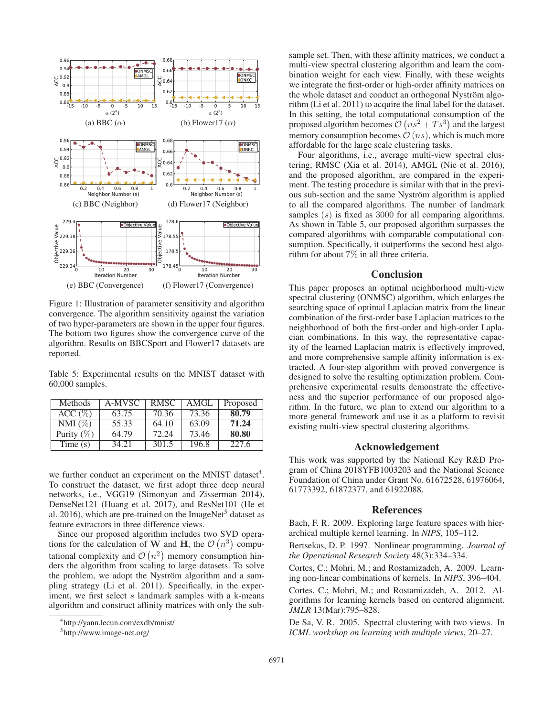

Figure 1: Illustration of parameter sensitivity and algorithm convergence. The algorithm sensitivity against the variation of two hyper-parameters are shown in the upper four figures. The bottom two figures show the convergence curve of the algorithm. Results on BBCSport and Flower17 datasets are reported.

Table 5: Experimental results on the MNIST dataset with 60,000 samples.

| Methods       | A-MVSC | <b>RMSC</b> | AMGL  | Proposed |
|---------------|--------|-------------|-------|----------|
| ACC (%)       | 63.75  | 70.36       | 73.36 | 80.79    |
| $NMI(\%)$     | 55.33  | 64.10       | 63.09 | 71.24    |
| Purity $(\%)$ | 64.79  | 72.24       | 73.46 | 80.80    |
| Time $(s)$    | 34.21  | 301.5       | 196.8 | 227.6    |

we further conduct an experiment on the MNIST dataset<sup>4</sup>. To construct the dataset, we first adopt three deep neural networks, i.e., VGG19 (Simonyan and Zisserman 2014), DenseNet121 (Huang et al. 2017), and ResNet101 (He et al. 2016), which are pre-trained on the ImageNet<sup>5</sup> dataset as feature extractors in three difference views.

Since our proposed algorithm includes two SVD operations for the calculation of W and H, the  $\mathcal{O}(n^3)$  computational complexity and  $\mathcal{O}(n^2)$  memory consumption hinders the algorithm from scaling to large datasets. To solve the problem, we adopt the Nyström algorithm and a sampling strategy (Li et al. 2011). Specifically, in the experiment, we first select s landmark samples with a k-means algorithm and construct affinity matrices with only the subsample set. Then, with these affinity matrices, we conduct a multi-view spectral clustering algorithm and learn the combination weight for each view. Finally, with these weights we integrate the first-order or high-order affinity matrices on the whole dataset and conduct an orthogonal Nyström algorithm (Li et al. 2011) to acquire the final label for the dataset. In this setting, the total computational consumption of the proposed algorithm becomes  $\mathcal{O}(ns^2 + Ts^3)$  and the largest memory consumption becomes  $\mathcal{O}(ns)$ , which is much more affordable for the large scale clustering tasks.

Four algorithms, i.e., average multi-view spectral clustering, RMSC (Xia et al. 2014), AMGL (Nie et al. 2016), and the proposed algorithm, are compared in the experiment. The testing procedure is similar with that in the previous sub-section and the same Nyström algorithm is applied to all the compared algorithms. The number of landmark samples (s) is fixed as 3000 for all comparing algorithms. As shown in Table 5, our proposed algorithm surpasses the compared algorithms with comparable computational consumption. Specifically, it outperforms the second best algorithm for about 7% in all three criteria.

# **Conclusion**

This paper proposes an optimal neighborhood multi-view spectral clustering (ONMSC) algorithm, which enlarges the searching space of optimal Laplacian matrix from the linear combination of the first-order base Laplacian matrices to the neighborhood of both the first-order and high-order Laplacian combinations. In this way, the representative capacity of the learned Laplacian matrix is effectively improved, and more comprehensive sample affinity information is extracted. A four-step algorithm with proved convergence is designed to solve the resulting optimization problem. Comprehensive experimental results demonstrate the effectiveness and the superior performance of our proposed algorithm. In the future, we plan to extend our algorithm to a more general framework and use it as a platform to revisit existing multi-view spectral clustering algorithms.

### Acknowledgement

This work was supported by the National Key R&D Program of China 2018YFB1003203 and the National Science Foundation of China under Grant No. 61672528, 61976064, 61773392, 61872377, and 61922088.

#### References

Bach, F. R. 2009. Exploring large feature spaces with hierarchical multiple kernel learning. In *NIPS*, 105–112.

Bertsekas, D. P. 1997. Nonlinear programming. *Journal of the Operational Research Society* 48(3):334–334.

Cortes, C.; Mohri, M.; and Rostamizadeh, A. 2009. Learning non-linear combinations of kernels. In *NIPS*, 396–404.

Cortes, C.; Mohri, M.; and Rostamizadeh, A. 2012. Algorithms for learning kernels based on centered alignment. *JMLR* 13(Mar):795–828.

De Sa, V. R. 2005. Spectral clustering with two views. In *ICML workshop on learning with multiple views*, 20–27.

<sup>4</sup> http://yann.lecun.com/exdb/mnist/

<sup>5</sup> http://www.image-net.org/